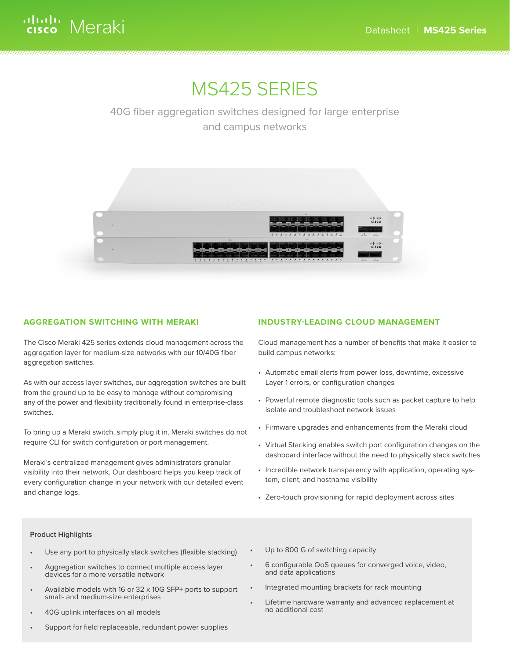# MS425 SERIES

40G fiber aggregation switches designed for large enterprise and campus networks



### **AGGREGATION SWITCHING WITH MERAKI**

The Cisco Meraki 425 series extends cloud management across the aggregation layer for medium-size networks with our 10/40G fiber aggregation switches.

As with our access layer switches, our aggregation switches are built from the ground up to be easy to manage without compromising any of the power and flexibility traditionally found in enterprise-class switches.

To bring up a Meraki switch, simply plug it in. Meraki switches do not require CLI for switch configuration or port management.

Meraki's centralized management gives administrators granular visibility into their network. Our dashboard helps you keep track of every configuration change in your network with our detailed event and change logs.

#### **INDUSTRY-LEADING CLOUD MANAGEMENT**

Cloud management has a number of benefits that make it easier to build campus networks:

- Automatic email alerts from power loss, downtime, excessive Layer 1 errors, or configuration changes
- Powerful remote diagnostic tools such as packet capture to help isolate and troubleshoot network issues
- Firmware upgrades and enhancements from the Meraki cloud
- Virtual Stacking enables switch port configuration changes on the dashboard interface without the need to physically stack switches
- Incredible network transparency with application, operating system, client, and hostname visibility
- Zero-touch provisioning for rapid deployment across sites

#### **Product Highlights**

- Use any port to physically stack switches (flexible stacking)
- Aggregation switches to connect multiple access layer devices for a more versatile network
- Available models with 16 or 32 x 10G SFP+ ports to support small- and medium-size enterprises
- 40G uplink interfaces on all models
- Support for field replaceable, redundant power supplies
- Up to 800 G of switching capacity
- 6 configurable QoS queues for converged voice, video, and data applications
- Integrated mounting brackets for rack mounting
- Lifetime hardware warranty and advanced replacement at no additional cost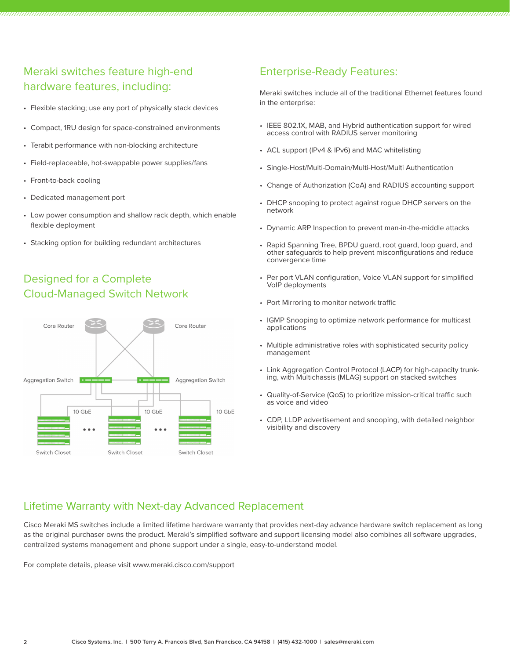## Meraki switches feature high-end hardware features, including:

- Flexible stacking; use any port of physically stack devices
- Compact, 1RU design for space-constrained environments
- Terabit performance with non-blocking architecture
- Field-replaceable, hot-swappable power supplies/fans
- Front-to-back cooling
- Dedicated management port
- Low power consumption and shallow rack depth, which enable flexible deployment
- Stacking option for building redundant architectures

## Designed for a Complete Cloud-Managed Switch Network



### Enterprise-Ready Features:

Meraki switches include all of the traditional Ethernet features found in the enterprise:

- IEEE 802.1X, MAB, and Hybrid authentication support for wired access control with RADIUS server monitoring
- ACL support (IPv4 & IPv6) and MAC whitelisting
- Single-Host/Multi-Domain/Multi-Host/Multi Authentication
- Change of Authorization (CoA) and RADIUS accounting support
- DHCP snooping to protect against rogue DHCP servers on the network
- Dynamic ARP Inspection to prevent man-in-the-middle attacks
- Rapid Spanning Tree, BPDU guard, root guard, loop guard, and other safeguards to help prevent misconfigurations and reduce convergence time
- Per port VLAN configuration, Voice VLAN support for simplified VoIP deployments
- Port Mirroring to monitor network traffic
- IGMP Snooping to optimize network performance for multicast applications
- Multiple administrative roles with sophisticated security policy management
- Link Aggregation Control Protocol (LACP) for high-capacity trunk- ing, with Multichassis (MLAG) support on stacked switches
- Quality-of-Service (QoS) to prioritize mission-critical traffic such as voice and video
- CDP, LLDP advertisement and snooping, with detailed neighbor visibility and discovery

### Lifetime Warranty with Next-day Advanced Replacement

Cisco Meraki MS switches include a limited lifetime hardware warranty that provides next-day advance hardware switch replacement as long as the original purchaser owns the product. Meraki's simplified software and support licensing model also combines all software upgrades, centralized systems management and phone support under a single, easy-to-understand model.

For complete details, please visit www.meraki.cisco.com/support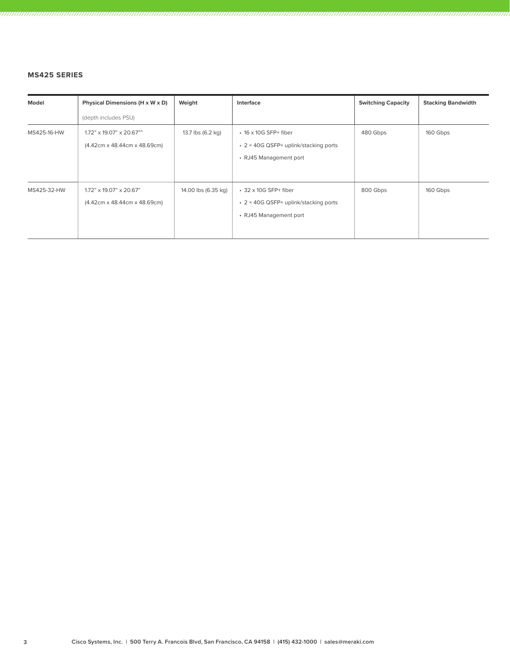#### **MS425 SERIES**

| Model       | Physical Dimensions (H x W x D)                                         | Weight              | Interface                                                                                      | <b>Switching Capacity</b> | <b>Stacking Bandwidth</b> |
|-------------|-------------------------------------------------------------------------|---------------------|------------------------------------------------------------------------------------------------|---------------------------|---------------------------|
|             | (depth includes PSU)                                                    |                     |                                                                                                |                           |                           |
| MS425-16-HW | $1.72$ " x 19.07" x 20.67""<br>$(4.42cm \times 48.44cm \times 48.69cm)$ | 13.7 lbs (6.2 kg)   | $\cdot$ 16 x 10G SFP+ fiber<br>• 2 × 40G QSFP+ uplink/stacking ports<br>• RJ45 Management port | 480 Gbps                  | 160 Gbps                  |
| MS425-32-HW | $1.72$ " x 19.07" x 20.67"<br>(4.42cm x 48.44cm x 48.69cm)              | 14.00 lbs (6.35 kg) | $\cdot$ 32 x 10G SFP+ fiber<br>• 2 × 40G QSFP+ uplink/stacking ports<br>• RJ45 Management port | 800 Gbps                  | 160 Gbps                  |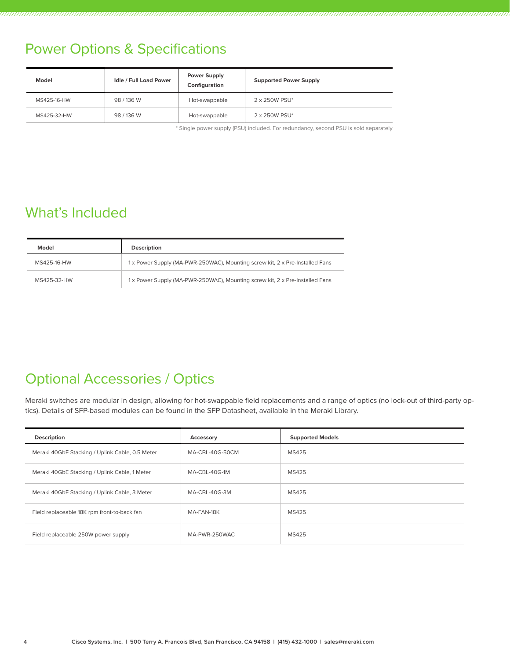## Power Options & Specifications

| Model       | <b>Idle / Full Load Power</b> | <b>Power Supply</b><br>Configuration | <b>Supported Power Supply</b> |
|-------------|-------------------------------|--------------------------------------|-------------------------------|
| MS425-16-HW | 98 / 136 W                    | Hot-swappable                        | 2 x 250W PSU*                 |
| MS425-32-HW | 98/136W                       | Hot-swappable                        | 2 x 250W PSU*                 |

\* Single power supply (PSU) included. For redundancy, second PSU is sold separately

## What's Included

| Model       | <b>Description</b>                                                          |  |
|-------------|-----------------------------------------------------------------------------|--|
| MS425-16-HW | 1x Power Supply (MA-PWR-250WAC), Mounting screw kit, 2 x Pre-Installed Fans |  |
| MS425-32-HW | 1x Power Supply (MA-PWR-250WAC), Mounting screw kit, 2 x Pre-Installed Fans |  |

## Optional Accessories / Optics

Meraki switches are modular in design, allowing for hot-swappable field replacements and a range of optics (no lock-out of third-party optics). Details of SFP-based modules can be found in the SFP Datasheet, available in the Meraki Library.

| <b>Description</b>                              | Accessory       | <b>Supported Models</b> |
|-------------------------------------------------|-----------------|-------------------------|
| Meraki 40GbE Stacking / Uplink Cable, 0.5 Meter | MA-CBL-40G-50CM | MS425                   |
| Meraki 40GbE Stacking / Uplink Cable, 1 Meter   | MA-CBL-40G-1M   | MS425                   |
| Meraki 40GbE Stacking / Uplink Cable, 3 Meter   | MA-CBL-40G-3M   | MS425                   |
| Field replaceable 18K rpm front-to-back fan     | MA-FAN-18K      | MS425                   |
| Field replaceable 250W power supply             | MA-PWR-250WAC   | MS425                   |